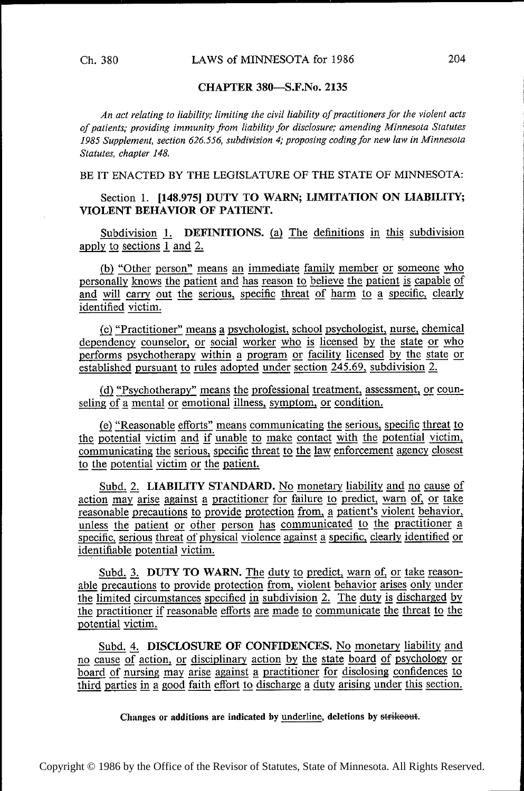## CHAPTER 380—S.F.No. 2135

An act relating to liability; limiting the civil liability of practitioners for the violent acts of patients; providing immunity from liability for disclosure; amending Minnesota Statutes 1985 Supplement, section 626.556, subdivision 4; proposing coding for new law in Minnesota Statutes, chapter 148.

BE IT ENACTED BY THE LEGISLATURE OF THE STATE OF MINNESOTA:

## Section 1. [148.975] DUTY TO WARN; LIMITATION ON LIABILITY; VIOLENT BEHAVIOR OF PATIENT.

Subdivision 1. DEFINITIONS. (a) The definitions in this subdivision apply to sections  $1$  and  $2$ .

 $(b)$  "Other person" means an immediate family member or someone who personally knows the patient and has reason to believe the patient is capable of and will carry out the serious, specific threat of harm to a specific, clearly identified victim.

fig) "Practitioner" means g psychologist, school psychologist, nurse, chemical dependency counselor, or social worker who is licensed by the state or who performs psychotherapy within a program or facility licensed by the state or established pursuant to rules adopted under section 245.69, subdivision 2.

(d) "Psychotherapy" means the professional treatment, assessment, or counseling of a mental or emotional illness, symptom, or condition.

(e) "Reasonable efforts" means communicating the serious, specific threat to the potential victim and if unable to make contact with the potential victim, communicating the serious, specific threat to the law enforcement agency closest to the potential victim or the patient.

Subd. 2. LIABILITY STANDARD. No monetary liability and no cause of action may arise against a practitioner for failure to predict, warn of, or take reasonable precautions to provide protection from, a patient's violent behavior, unless the patient or other person has communicated to the practitioner a specific, serious threat of physical violence against a specific, clearly identified or identifiable potential victim.

Subd. 3. DUTY TO WARN. The duty to predict, warn of, or take reason-<br>able precautions to provide protection from, violent behavior arises only under able precautions to provide protection from, violent behavior arises only under<br>the limited circumstances specified in subdivision 2. The duty is discharged by<br>the practitioner if reasonable efforts are made to communicate  $\frac{r}{\text{the}}$  practitioner if reasonable efforts are made to communicate the threat to the notential victim potential victim.

Subd. 4. DISCLOSURE OF CONFIDENCES. No monetary liability and no cause of action, or disciplinary action by the state board of psychology or board of nursing may arise against a practitioner for disclosing confidences to third parties in a good faith effort to discharge a duty arising under this section.

Changes or additions are indicated by underline, deletions by strikeout.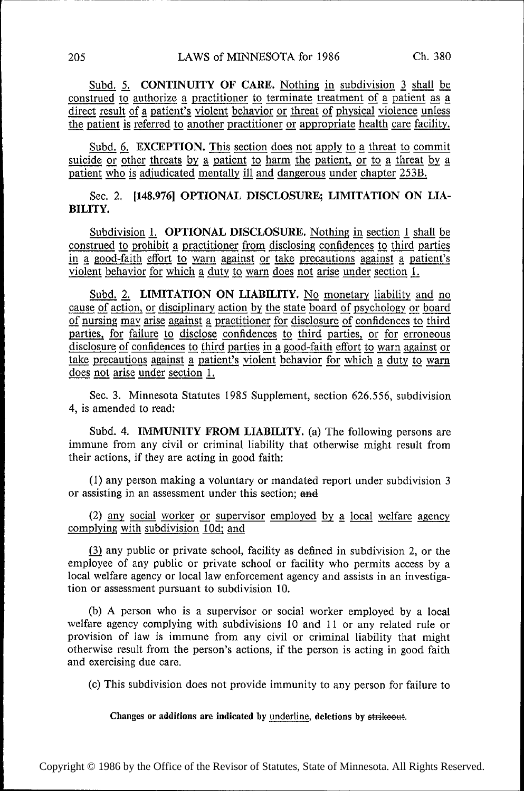Subd. 5. CONTINUITY OF CARE. Nothing in subdivision 3 shall be construed to authorize a practitioner to terminate treatment of a patient as a direct result of a patient's violent behavior or threat of physical violence unless the patient is referred to another practitioner or appropriate health care facility.

Subd. 6. EXCEPTION. This section does not apply to a threat to commit suicide or other threats by a patient to harm the patient, or to a threat by a patient who is adjudicated mentally ill and dangerous under chapter 253B.

Sec. 2. [l48.976] OPTIONAL DISCLOSURE; LIMITATION ON LIA-BILITY.

Subdivision 1. OPTIONAL DISCLOSURE. Nothing in section 1 shall be construed to prohibit a practitioner from disclosing confidences to third parties in a good-faith effort to warn against or take precautions against a patient's violent behavior for which a duty to warn does not arise under section 1.

Subd. 2. LIMITATION ON LIABILITY. No monetary liability and no cause of action, or disciplinary action by the state board of psychology or board of nursing may arise against a practitioner for disclosure of confidences to third parties, for failure to disclose confidences to third parties, or for erroneous disclosure of confidences to third parties in a good-faith effort to warn against or disclosure of confidences to third parties in a good-faith effort to warn against or<br>take precautions against a patient's violent behavior for which a duty to warn<br>does not arise under section 1. does not arise under section 1. patient's ties in a good-faith effort to warn against or<br><u>violent behavior for which a duty to warn</u>

Sec. 3. Minnesota Statutes 1985 Supplement, section 626.556, subdivision 4, is amended to read:

Subd. 4. IMMUNITY FROM LIABILITY. (a) The following persons are immune from any civil or criminal liability that otherwise might result from their actions, if they are acting in good faith:

(1) any person making a voluntary or mandated report under subdivision 3 or assisting in an assessment under this section; and

(2) any social worker or supervisor employed by a local welfare agency complying with subdivision 10d; and

Q) any public or private school, facility as defined in subdivision 2, or the employee of any public or private school or facility who permits access by <sup>a</sup> local welfare agency or local law enforcement agency and assists in an investigation or assessment pursuant to subdivision 10.

(b) A person who is a supervisor or social worker employed by a local welfare agency complying with subdivisions 10 and 11 or any related rule or provision of law is immune from any civil or criminal liability that might otherwise result from the person's actions, if the person is acting in good faith and exercising due care.

(c) This subdivision does not provide immunity to any person for failure to

Changes or additions are indicated by underline, deletions by strikeout.